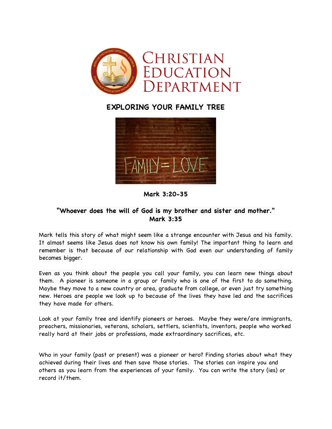

## **EXPLORING YOUR FAMILY TREE**



**Mark 3:20-35**

## **"Whoever does the will of God is my brother and sister and mother." Mark 3:35**

Mark tells this story of what might seem like a strange encounter with Jesus and his family. It almost seems like Jesus does not know his own family! The important thing to learn and remember is that because of our relationship with God even our understanding of family becomes bigger.

Even as you think about the people you call your family, you can learn new things about them. A pioneer is someone in a group or family who is one of the first to do something. Maybe they move to a new country or area, graduate from college, or even just try something new. Heroes are people we look up to because of the lives they have led and the sacrifices they have made for others.

Look at your family tree and identify pioneers or heroes. Maybe they were/are immigrants, preachers, missionaries, veterans, scholars, settlers, scientists, inventors, people who worked really hard at their jobs or professions, made extraordinary sacrifices, etc.

Who in your family (past or present) was a pioneer or hero? Finding stories about what they achieved during their lives and then save those stories. The stories can inspire you and others as you learn from the experiences of your family. You can write the story (ies) or record it/them.